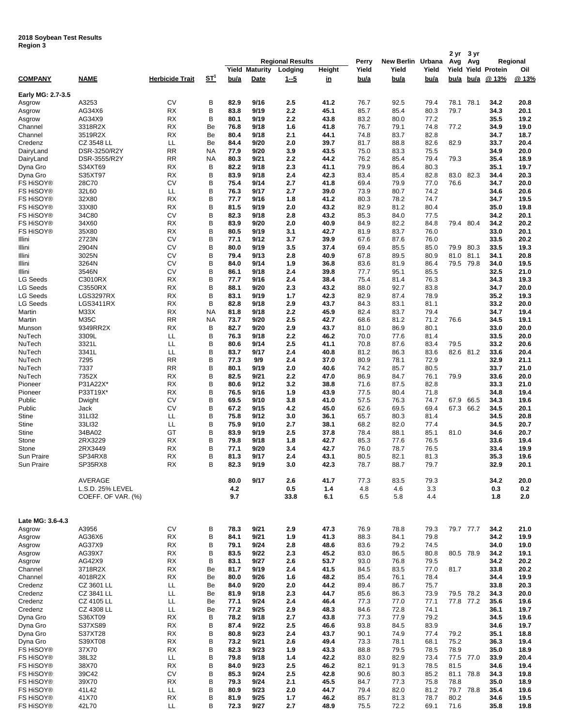**2018 Soybean Test Results Region 3**

| negiun J               |                             |                        |        |              |                 |                         |              |              |              |              | 2 yr         | 3 yr      |                     |              |
|------------------------|-----------------------------|------------------------|--------|--------------|-----------------|-------------------------|--------------|--------------|--------------|--------------|--------------|-----------|---------------------|--------------|
|                        |                             |                        |        |              |                 | <b>Regional Results</b> |              | Perry        | New Berlin   | Urbana       | Avg          | Avg       |                     | Regional     |
|                        |                             |                        |        | Yield        | <b>Maturity</b> | Lodging                 | Height       | Yield        | Yield        | Yield        |              |           | Yield Yield Protein | Oil          |
| <b>COMPANY</b>         | <b>NAME</b>                 | <b>Herbicide Trait</b> | $ST^1$ | bu/a         | Date            | <u>1-5</u>              | <u>in</u>    | bu/a         | bu/a         | bu/a         | bu/a         | bu/a      | @ 13%               | @13%         |
| Early MG: 2.7-3.5      |                             |                        |        |              |                 |                         |              |              |              |              |              |           |                     |              |
| Asgrow                 | A3253                       | CV                     | в      | 82.9         | 9/16            | 2.5                     | 41.2         | 76.7         | 92.5         | 79.4         | 78.1         | 78.1      | 34.2                | 20.8         |
| Asgrow                 | AG34X6                      | <b>RX</b>              | B      | 83.8         | 9/19            | 2.2                     | 45.1         | 85.7         | 85.4         | 80.3         | 79.7         |           | 34.3                | 20.1         |
| Asgrow                 | AG34X9                      | <b>RX</b>              | в      | 80.1         | 9/19            | 2.2                     | 43.8         | 83.2         | 80.0         | 77.2         |              |           | 35.5                | 19.2         |
| Channel                | 3318R2X                     | RX                     | Be     | 76.8         | 9/18            | 1.6                     | 41.8         | 76.7         | 79.1         | 74.8         | 77.2         |           | 34.9                | 19.0         |
| Channel                | 3519R2X                     | <b>RX</b>              | Be     | 80.4         | 9/18            | 2.1                     | 44.1         | 74.8         | 83.7         | 82.8         |              |           | 34.7                | 18.7         |
| Credenz                | CZ 3548 LL                  | LL                     | Be     | 84.4         | 9/20            | 2.0                     | 39.7         | 81.7         | 88.8         | 82.6         | 82.9         |           | 33.7                | 20.4         |
| DairyLand              | DSR-3250/R2Y                | <b>RR</b>              | NA     | 77.9         | 9/20            | 3.9                     | 43.5         | 75.0         | 83.3         | 75.5         |              |           | 34.9                | 20.0         |
| DairyLand              | DSR-3555/R2Y                | <b>RR</b>              | NA     | 80.3         | 9/21            | 2.2                     | 44.2         | 76.2         | 85.4         | 79.4         | 79.3         |           | 35.4                | 18.9         |
| Dyna Gro               | S34XT69                     | <b>RX</b>              | в      | 82.2         | 9/18            | 2.3                     | 41.1         | 79.9         | 86.4         | 80.3         |              |           | 35.1                | 19.7         |
| Dyna Gro               | S35XT97                     | <b>RX</b>              | В      | 83.9         | 9/18            | 2.4                     | 42.3         | 83.4         | 85.4         | 82.8         | 83.0         | 82.3      | 34.4                | 20.3         |
| FS HiSOY®              | 28C70                       | CV                     | в<br>в | 75.4         | 9/14            | 2.7                     | 41.8         | 69.4         | 79.9         | 77.0         | 76.6         |           | 34.7                | 20.0         |
| FS HiSOY®              | 32L60                       | ᄔ                      | в      | 76.3         | 9/17            | 2.7                     | 39.0         | 73.9         | 80.7         | 74.2         |              |           | 34.6                | 20.6         |
| FS HiSOY®<br>FS HiSOY® | 32X80<br>33X80              | <b>RX</b><br><b>RX</b> | в      | 77.7<br>81.5 | 9/16<br>9/19    | 1.8<br>2.0              | 41.2<br>43.2 | 80.3<br>82.9 | 78.2<br>81.2 | 74.7<br>80.4 |              |           | 34.7<br>35.0        | 19.5<br>19.8 |
| FS HiSOY®              | 34C80                       | CV                     | в      | 82.3         | 9/18            | 2.8                     | 43.2         | 85.3         | 84.0         | 77.5         |              |           | 34.2                | 20.1         |
| <b>FS HISOY®</b>       | 34X60                       | <b>RX</b>              | в      | 83.9         | 9/20            | 2.0                     | 40.9         | 84.9         | 82.2         | 84.8         |              | 79.4 80.4 | 34.2                | 20.2         |
| <b>FS HISOY®</b>       | 35X80                       | RX                     | в      | 80.5         | 9/19            | 3.1                     | 42.7         | 81.9         | 83.7         | 76.0         |              |           | 33.0                | 20.1         |
| Illini                 | 2723N                       | CV                     | в      | 77.1         | 9/12            | 3.7                     | 39.9         | 67.6         | 87.6         | 76.0         |              |           | 33.5                | 20.2         |
| Illini                 | 2904N                       | CV                     | в      | 80.0         | 9/19            | 3.5                     | 37.4         | 69.4         | 85.5         | 85.0         | 79.9         | 80.3      | 33.5                | 19.3         |
| Illini                 | 3025N                       | CV                     | B      | 79.4         | 9/13            | 2.8                     | 40.9         | 67.8         | 89.5         | 80.9         | 81.0         | 81.1      | 34.1                | 20.8         |
| Illini                 | 3264N                       | CV                     | в      | 84.0         | 9/14            | 1.9                     | 36.8         | 83.6         | 81.9         | 86.4         |              | 79.5 79.8 | 34.0                | 19.5         |
| Illini                 | 3546N                       | CV                     | в      | 86.1         | 9/18            | 2.4                     | 39.8         | 77.7         | 95.1         | 85.5         |              |           | 32.5                | 21.0         |
| <b>LG Seeds</b>        | C3010RX                     | <b>RX</b>              | в      | 77.7         | 9/16            | 2.4                     | 38.4         | 75.4         | 81.4         | 76.3         |              |           | 34.3                | 19.3         |
| <b>LG Seeds</b>        | C3550RX                     | <b>RX</b>              | в      | 88.1         | 9/20            | 2.3                     | 43.2         | 88.0         | 92.7         | 83.8         |              |           | 34.7                | 20.0         |
| <b>LG Seeds</b>        | LGS3297RX                   | RX                     | в      | 83.1         | 9/19            | 1.7                     | 42.3         | 82.9         | 87.4         | 78.9         |              |           | 35.2                | 19.3         |
| <b>LG Seeds</b>        | LGS3411RX                   | <b>RX</b>              | в      | 82.8         | 9/18            | 2.9                     | 43.7         | 84.3         | 83.1         | 81.1         |              |           | 33.2                | 20.0         |
| Martin                 | M33X                        | <b>RX</b>              | NA     | 81.8         | 9/18            | 2.2                     | 45.9         | 82.4         | 83.7         | 79.4         |              |           | 34.7                | 19.4         |
| Martin                 | M35C                        | <b>RR</b>              | NA     | 73.7         | 9/20            | 2.5                     | 42.7         | 68.6         | 81.2         | 71.2         | 76.6         |           | 34.5                | 19.1         |
| Munson                 | 9349RR2X                    | RX                     | в      | 82.7         | 9/20            | 2.9                     | 43.7         | 81.0         | 86.9         | 80.1         |              |           | 33.0                | 20.0         |
| NuTech                 | 3309L                       | LL                     | в      | 76.3         | 9/18            | 2.2                     | 46.2         | 70.0         | 77.6         | 81.4         |              |           | 33.5                | 20.0         |
| NuTech                 | 3321L                       | LL                     | в      | 80.6         | 9/14            | 2.5                     | 41.1         | 70.8         | 87.6         | 83.4         | 79.5         |           | 33.2                | 20.6         |
| NuTech                 | 3341L                       | LL                     | в      | 83.7         | 9/17            | 2.4                     | 40.8         | 81.2         | 86.3         | 83.6         |              | 82.6 81.2 | 33.6                | 20.4         |
| NuTech                 | 7295                        | <b>RR</b>              | B      | 77.3         | 9/9             | 2.4                     | 37.0         | 80.9         | 78.1         | 72.9         |              |           | 32.9                | 21.1         |
| NuTech                 | 7337                        | <b>RR</b>              | в      | 80.1         | 9/19            | 2.0                     | 40.6         | 74.2         | 85.7         | 80.5         |              |           | 33.7                | 21.0         |
| NuTech                 | 7352X                       | <b>RX</b>              | в      | 82.5         | 9/21            | 2.2                     | 47.0         | 86.9         | 84.7         | 76.1         | 79.9         |           | 33.6                | 20.0         |
| Pioneer                | P31A22X*                    | RX                     | в      | 80.6         | 9/12            | 3.2                     | 38.8         | 71.6         | 87.5         | 82.8         |              |           | 33.3                | 21.0         |
| Pioneer                | P33T19X*                    | RX                     | в      | 76.5         | 9/16            | 1.9                     | 43.9         | 77.5         | 80.4         | 71.8         |              |           | 34.8                | 19.4         |
| Public                 | Dwight                      | CV                     | в      | 69.5         | 9/10            | 3.8                     | 41.0         | 57.5         | 76.3         | 74.7         | 67.9         | 66.5      | 34.3                | 19.6         |
| Public                 | Jack                        | CV                     | в      | 67.2         | 9/15            | 4.2                     | 45.0         | 62.6         | 69.5         | 69.4         |              | 67.3 66.2 | 34.5                | 20.1         |
| <b>Stine</b><br>Stine  | 31LI32<br>33LI32            | LL<br>LL               | в<br>в | 75.8<br>75.9 | 9/12<br>9/10    | 3.0<br>2.7              | 36.1<br>38.1 | 65.7         | 80.3<br>82.0 | 81.4<br>77.4 |              |           | 34.5<br>34.5        | 20.8<br>20.7 |
| <b>Stine</b>           | 34BA02                      | GT                     | в      | 83.9         | 9/19            | 2.5                     | 37.8         | 68.2<br>78.4 | 88.1         | 85.1         | 81.0         |           | 34.6                | 20.7         |
| Stone                  | 2RX3229                     | <b>RX</b>              | В      | 79.8         | 9/18            | 1.8                     | 42.7         | 85.3         | 77.6         | 76.5         |              |           | 33.6                | 19.4         |
| Stone                  | 2RX3449                     | <b>RX</b>              | В      | 77.1         | 9/20            | 3.4                     | 42.7         | 76.0         | 78.7         | 76.5         |              |           | 33.4                | 19.9         |
| Sun Praire             | SP34RX8                     | <b>RX</b>              | B      | 81.3         | 9/17            | 2.4                     | 43.1         | 80.5         | 82.1         | 81.3         |              |           | 35.3                | 19.6         |
| Sun Praire             | SP35RX8                     | <b>RX</b>              | B      | 82.3         | 9/19            | 3.0                     | 42.3         | 78.7         | 88.7         | 79.7         |              |           | 32.9                | 20.1         |
|                        |                             |                        |        |              |                 |                         |              |              |              |              |              |           |                     |              |
|                        | AVERAGE<br>L.S.D. 25% LEVEL |                        |        | 80.0<br>4.2  | 9/17            | 2.6<br>0.5              | 41.7<br>1.4  | 77.3<br>4.8  | 83.5<br>4.6  | 79.3<br>3.3  |              |           | 34.2<br>0.3         | 20.0<br>0.2  |
|                        | COEFF. OF VAR. (%)          |                        |        | 9.7          |                 | 33.8                    | 6.1          | 6.5          | 5.8          | 4.4          |              |           | 1.8                 | 2.0          |
|                        |                             |                        |        |              |                 |                         |              |              |              |              |              |           |                     |              |
| Late MG: 3.6-4.3       |                             |                        |        |              |                 |                         |              |              |              |              |              |           |                     |              |
| Asgrow                 | A3956                       | CV                     | В      | 78.3         | 9/21            | 2.9                     | 47.3         | 76.9         | 78.8         | 79.3         |              | 79.7 77.7 | 34.2                | 21.0         |
| Asgrow                 | AG36X6                      | <b>RX</b>              | B      | 84.1         | 9/21            | 1.9                     | 41.3         | 88.3         | 84.1         | 79.8         |              |           | 34.2                | 19.9         |
| Asgrow                 | AG37X9                      | RX                     | в      | 79.1         | 9/24            | 2.8                     | 48.6         | 83.6         | 79.2         | 74.5         |              |           | 34.0                | 19.0         |
| Asgrow                 | AG39X7                      | RX                     | в      | 83.5         | 9/22            | 2.3                     | 45.2         | 83.0         | 86.5         | 80.8         |              | 80.5 78.9 | 34.2                | 19.1         |
| Asgrow                 | AG42X9                      | <b>RX</b>              | в      | 83.1         | 9/27            | 2.6                     | 53.7         | 93.0         | 76.8         | 79.5         |              |           | 34.2                | 20.2         |
| Channel                | 3718R2X                     | <b>RX</b>              | Be     | 81.7         | 9/19            | 2.4                     | 41.5         | 84.5         | 83.5         | 77.0         | 81.7         |           | 33.8                | 20.2         |
| Channel                | 4018R2X                     | <b>RX</b>              | Be     | 80.0         | 9/26            | 1.6                     | 48.2         | 85.4         | 76.1         | 78.4         |              |           | 34.4                | 19.9         |
| Credenz                | CZ 3601 LL                  | LL                     | Be     | 84.0         | 9/20            | 2.0                     | 44.2         | 89.4         | 86.7         | 75.7         |              |           | 33.8                | 20.3         |
| Credenz                | CZ 3841 LL                  | LL                     | Be     | 81.9         | 9/18            | 2.3                     | 44.7         | 85.6         | 86.3         | 73.9         |              | 79.5 78.2 | 34.3                | 20.0         |
| Credenz                | CZ 4105 LL                  | LL                     | Be     | 77.1         | 9/24            | 2.4                     | 46.4         | 77.3         | 77.0         | 77.1         |              | 77.8 77.2 | 35.6                | 19.6         |
| Credenz                | CZ 4308 LL                  | LL                     | Be     | 77.2         | 9/25            | 2.9                     | 48.3         | 84.6         | 72.8         | 74.1         |              |           | 36.1                | 19.7         |
| Dyna Gro               | S36XT09                     | RX                     | В      | 78.2         | 9/18            | 2.7                     | 43.8         | 77.3         | 77.9         | 79.2         |              |           | 34.5                | 19.6         |
| Dyna Gro<br>Dyna Gro   | S37XS89<br>S37XT28          | <b>RX</b><br><b>RX</b> | в<br>в | 87.4<br>80.8 | 9/22<br>9/23    | 2.5<br>2.4              | 46.6<br>43.7 | 93.8         | 84.5<br>74.9 | 83.9         |              |           | 34.6<br>35.1        | 19.7         |
|                        |                             | <b>RX</b>              | в      |              | 9/21            |                         | 49.4         | 90.1         |              | 77.4         | 79.2<br>75.2 |           | 36.3                | 18.8         |
| Dyna Gro<br>FS HiSOY®  | S39XT08<br>37X70            | RX                     | в      | 73.2<br>82.3 | 9/23            | 2.6<br>1.9              | 43.3         | 73.3<br>88.8 | 78.1<br>79.5 | 68.1<br>78.5 | 78.9         |           | 35.0                | 19.4<br>18.9 |
| FS HiSOY®              | 38L32                       | LL                     | B      | 79.8         | 9/18            | 1.4                     | 42.2         | 83.0         | 82.9         | 73.4         |              | 77.5 77.0 | 33.9                | 20.4         |
| FS HiSOY®              | 38X70                       | <b>RX</b>              | B      | 84.0         | 9/23            | 2.5                     | 46.2         | 82.1         | 91.3         | 78.5         | 81.5         |           | 34.6                | 19.4         |
| FS HiSOY®              | 39C42                       | CV                     | в      | 85.3         | 9/24            | 2.5                     | 42.8         | 90.6         | 80.3         | 85.2         |              | 81.1 78.8 | 34.3                | 19.8         |
| FS HiSOY®              | 39X70                       | <b>RX</b>              | в      | 79.3         | 9/24            | 2.1                     | 45.5         | 84.7         | 77.3         | 75.8         | 78.8         |           | 35.0                | 18.9         |
| FS HiSOY®              | 41L42                       | LL                     | в      | 80.9         | 9/23            | 2.0                     | 44.7         | 79.4         | 82.0         | 81.2         |              | 79.7 78.8 | 35.4                | 19.6         |
| FS HiSOY®              | 41X70                       | <b>RX</b>              | В      | 81.9         | 9/25            | 1.7                     | 46.2         | 85.7         | 81.3         | 78.7         | 80.2         |           | 34.6                | 19.5         |
| FS HiSOY®              | 42L70                       | LL                     | В      | 72.3         | 9/27            | 2.7                     | 48.9         | 75.5         | 72.2         | 69.1         | 71.6         |           | 35.8                | 19.8         |